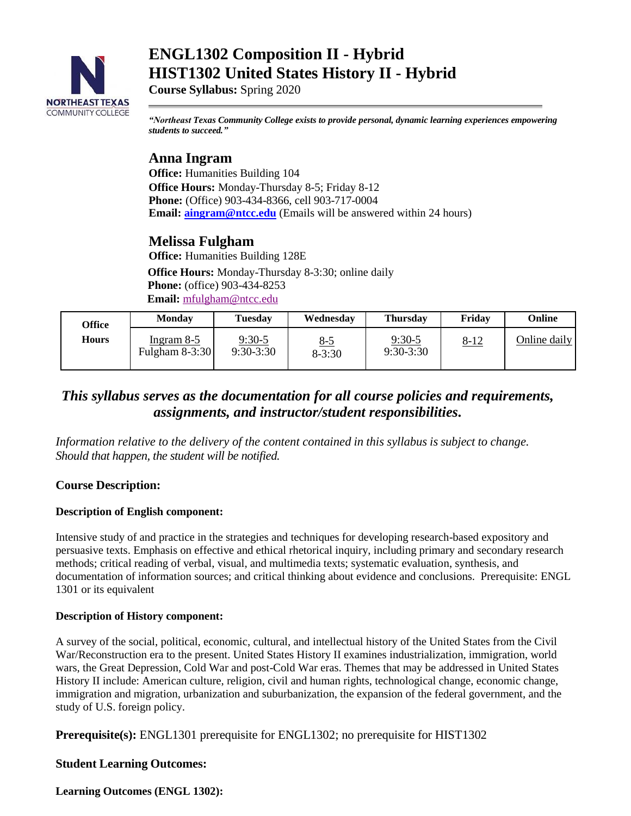

# **ENGL1302 Composition II - Hybrid HIST1302 United States History II - Hybrid**

**Course Syllabus:** Spring 2020

*"Northeast Texas Community College exists to provide personal, dynamic learning experiences empowering students to succeed."*

## **Anna Ingram**

**Office:** Humanities Building 104 **Office Hours:** Monday-Thursday 8-5; Friday 8-12 **Phone:** (Office) 903-434-8366, cell 903-717-0004 **Email: aingram@ntcc.edu** (Emails will be answered within 24 hours)

## **Melissa Fulgham**

**Office:** Humanities Building 128E

**Office Hours:** Monday-Thursday 8-3:30; online daily **Phone:** (office) 903-434-8253  **Email:** [mfulgham@ntcc.edu](mailto:mfulgham@ntcc.edu)

| Office | Monday                       | Tuesdav                 | Wednesday                | <b>Thursday</b>         | Friday      | Online       |
|--------|------------------------------|-------------------------|--------------------------|-------------------------|-------------|--------------|
| Hours  | Ingram 8-5<br>Fulgham 8-3:30 | $9:30-5$<br>$9:30-3:30$ | <u>8-5</u><br>$8 - 3:30$ | $9:30-5$<br>$9:30-3:30$ | <u>8-12</u> | Online daily |

## *This syllabus serves as the documentation for all course policies and requirements, assignments, and instructor/student responsibilities.*

*Information relative to the delivery of the content contained in this syllabus is subject to change. Should that happen, the student will be notified.*

## **Course Description:**

## **Description of English component:**

Intensive study of and practice in the strategies and techniques for developing research-based expository and persuasive texts. Emphasis on effective and ethical rhetorical inquiry, including primary and secondary research methods; critical reading of verbal, visual, and multimedia texts; systematic evaluation, synthesis, and documentation of information sources; and critical thinking about evidence and conclusions. Prerequisite: ENGL 1301 or its equivalent

## **Description of History component:**

A survey of the social, political, economic, cultural, and intellectual history of the United States from the Civil War/Reconstruction era to the present. United States History II examines industrialization, immigration, world wars, the Great Depression, Cold War and post-Cold War eras. Themes that may be addressed in United States History II include: American culture, religion, civil and human rights, technological change, economic change, immigration and migration, urbanization and suburbanization, the expansion of the federal government, and the study of U.S. foreign policy.

**Prerequisite(s):** ENGL1301 prerequisite for ENGL1302; no prerequisite for HIST1302

## **Student Learning Outcomes:**

**Learning Outcomes (ENGL 1302):**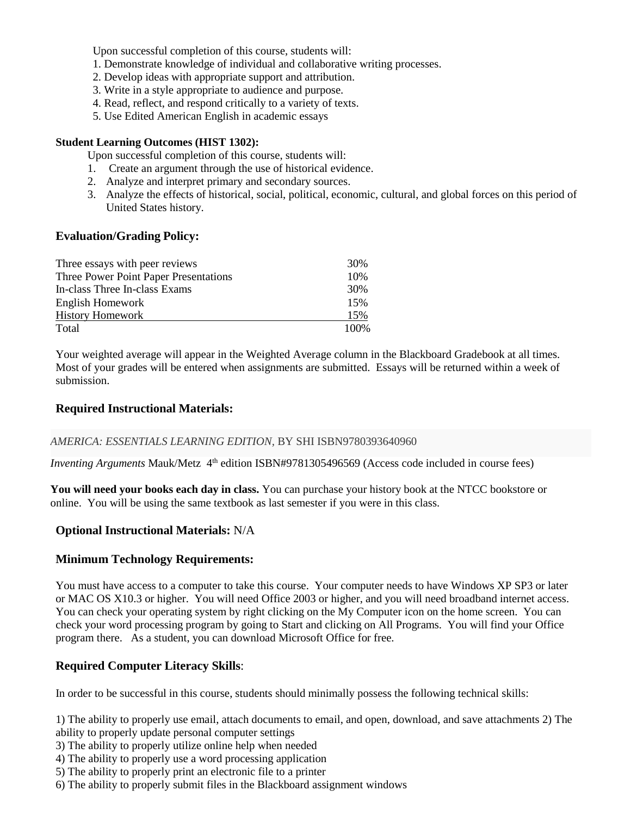Upon successful completion of this course, students will:

- 1. Demonstrate knowledge of individual and collaborative writing processes.
- 2. Develop ideas with appropriate support and attribution.
- 3. Write in a style appropriate to audience and purpose.
- 4. Read, reflect, and respond critically to a variety of texts.
- 5. Use Edited American English in academic essays

#### **Student Learning Outcomes (HIST 1302):**

Upon successful completion of this course, students will:

- 1. Create an argument through the use of historical evidence.
- 2. Analyze and interpret primary and secondary sources.
- 3. Analyze the effects of historical, social, political, economic, cultural, and global forces on this period of United States history.

## **Evaluation/Grading Policy:**

| Three essays with peer reviews        | 30%   |
|---------------------------------------|-------|
| Three Power Point Paper Presentations | 10%   |
| In-class Three In-class Exams         | 30%   |
| English Homework                      | 15%   |
| <b>History Homework</b>               | 15%   |
| Total                                 | 100\% |

Your weighted average will appear in the Weighted Average column in the Blackboard Gradebook at all times. Most of your grades will be entered when assignments are submitted. Essays will be returned within a week of submission.

## **Required Instructional Materials:**

#### *AMERICA: ESSENTIALS LEARNING EDITION,* BY SHI ISBN9780393640960

Inventing Arguments Mauk/Metz 4<sup>th</sup> edition ISBN#9781305496569 (Access code included in course fees)

**You will need your books each day in class.** You can purchase your history book at the NTCC bookstore or online. You will be using the same textbook as last semester if you were in this class.

## **Optional Instructional Materials:** N/A

## **Minimum Technology Requirements:**

You must have access to a computer to take this course. Your computer needs to have Windows XP SP3 or later or MAC OS X10.3 or higher. You will need Office 2003 or higher, and you will need broadband internet access. You can check your operating system by right clicking on the My Computer icon on the home screen. You can check your word processing program by going to Start and clicking on All Programs. You will find your Office program there. As a student, you can download Microsoft Office for free.

## **Required Computer Literacy Skills**:

In order to be successful in this course, students should minimally possess the following technical skills:

1) The ability to properly use email, attach documents to email, and open, download, and save attachments 2) The ability to properly update personal computer settings

- 3) The ability to properly utilize online help when needed
- 4) The ability to properly use a word processing application
- 5) The ability to properly print an electronic file to a printer
- 6) The ability to properly submit files in the Blackboard assignment windows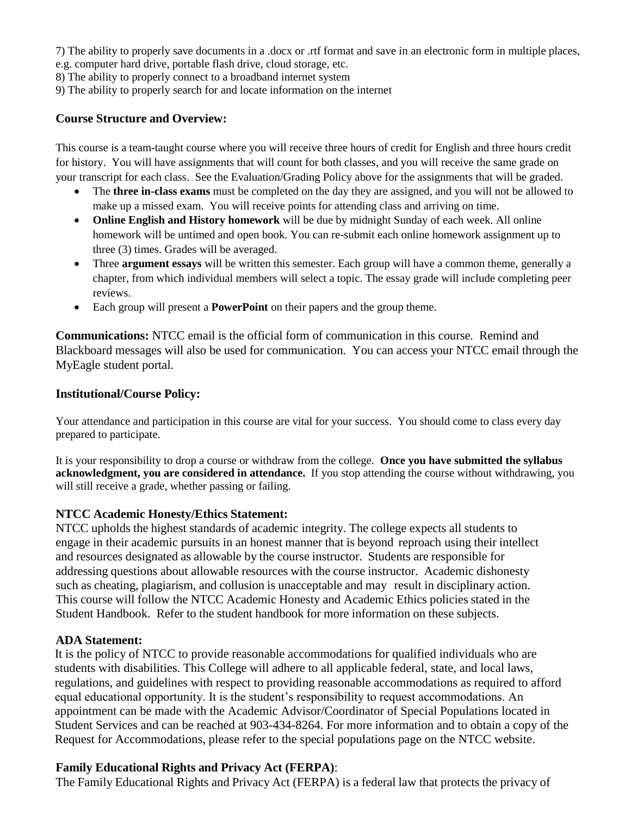7) The ability to properly save documents in a .docx or .rtf format and save in an electronic form in multiple places, e.g. computer hard drive, portable flash drive, cloud storage, etc.

8) The ability to properly connect to a broadband internet system

9) The ability to properly search for and locate information on the internet

## **Course Structure and Overview:**

This course is a team-taught course where you will receive three hours of credit for English and three hours credit for history. You will have assignments that will count for both classes, and you will receive the same grade on your transcript for each class. See the Evaluation/Grading Policy above for the assignments that will be graded.

- The **three in-class exams** must be completed on the day they are assigned, and you will not be allowed to make up a missed exam. You will receive points for attending class and arriving on time.
- **Online English and History homework** will be due by midnight Sunday of each week. All online homework will be untimed and open book. You can re-submit each online homework assignment up to three (3) times. Grades will be averaged.
- Three **argument essays** will be written this semester. Each group will have a common theme, generally a chapter, from which individual members will select a topic. The essay grade will include completing peer reviews.
- Each group will present a **PowerPoint** on their papers and the group theme.

**Communications:** NTCC email is the official form of communication in this course. Remind and Blackboard messages will also be used for communication. You can access your NTCC email through the MyEagle student portal.

## **Institutional/Course Policy:**

Your attendance and participation in this course are vital for your success. You should come to class every day prepared to participate.

It is your responsibility to drop a course or withdraw from the college. **Once you have submitted the syllabus acknowledgment, you are considered in attendance.** If you stop attending the course without withdrawing, you will still receive a grade, whether passing or failing.

## **NTCC Academic Honesty/Ethics Statement:**

NTCC upholds the highest standards of academic integrity. The college expects all students to engage in their academic pursuits in an honest manner that is beyond reproach using their intellect and resources designated as allowable by the course instructor. Students are responsible for addressing questions about allowable resources with the course instructor. Academic dishonesty such as cheating, plagiarism, and collusion is unacceptable and may result in disciplinary action. This course will follow the NTCC Academic Honesty and Academic Ethics policies stated in the Student Handbook. Refer to the student handbook for more information on these subjects.

## **ADA Statement:**

It is the policy of NTCC to provide reasonable accommodations for qualified individuals who are students with disabilities. This College will adhere to all applicable federal, state, and local laws, regulations, and guidelines with respect to providing reasonable accommodations as required to afford equal educational opportunity. It is the student's responsibility to request accommodations. An appointment can be made with the Academic Advisor/Coordinator of Special Populations located in Student Services and can be reached at 903-434-8264. For more information and to obtain a copy of the Request for Accommodations, please refer to the special populations page on the NTCC websit[e.](http://www.ntcc.edu/index.php?module=Pagesetter&func=viewpub&tid=111&pid=1) 

## **Family Educational Rights and Privacy Act (FERPA)**:

The Family Educational Rights and Privacy Act (FERPA) is a federal law that protects the privacy of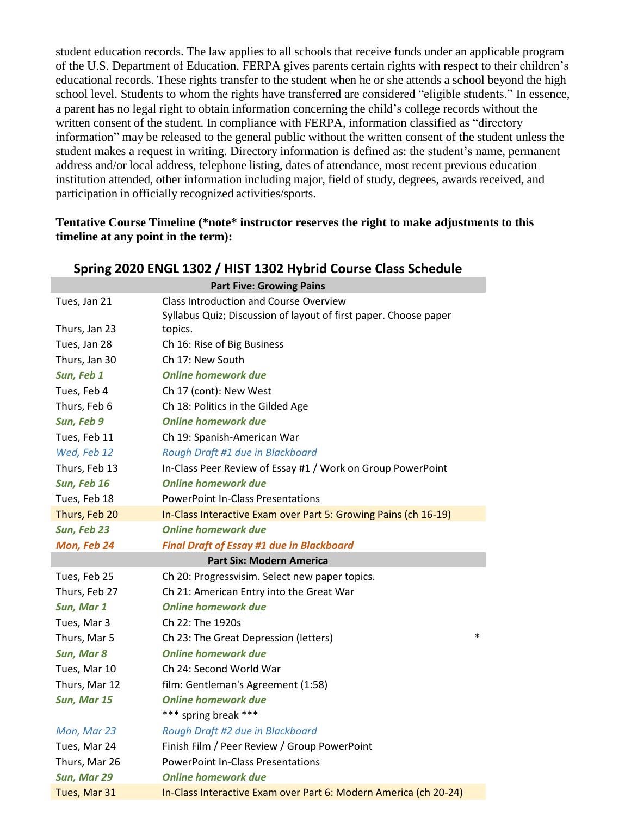student education records. The law applies to all schools that receive funds under an applicable program of the U.S. Department of Education. FERPA gives parents certain rights with respect to their children's educational records. These rights transfer to the student when he or she attends a school beyond the high school level. Students to whom the rights have transferred are considered "eligible students." In essence, a parent has no legal right to obtain information concerning the child's college records without the written consent of the student. In compliance with FERPA, information classified as "directory information" may be released to the general public without the written consent of the student unless the student makes a request in writing. Directory information is defined as: the student's name, permanent address and/or local address, telephone listing, dates of attendance, most recent previous education institution attended, other information including major, field of study, degrees, awards received, and participation in officially recognized activities/sports.

## **Tentative Course Timeline (\*note\* instructor reserves the right to make adjustments to this timeline at any point in the term):**

| Spring 2020 ENGL 1302 / HIST 1302 Hybrid Course Class Schedule |                                                                  |  |  |  |
|----------------------------------------------------------------|------------------------------------------------------------------|--|--|--|
| <b>Part Five: Growing Pains</b>                                |                                                                  |  |  |  |
| Tues, Jan 21                                                   | <b>Class Introduction and Course Overview</b>                    |  |  |  |
|                                                                | Syllabus Quiz; Discussion of layout of first paper. Choose paper |  |  |  |
| Thurs, Jan 23                                                  | topics.                                                          |  |  |  |
| Tues, Jan 28                                                   | Ch 16: Rise of Big Business                                      |  |  |  |
| Thurs, Jan 30                                                  | Ch 17: New South                                                 |  |  |  |
| Sun, Feb 1                                                     | <b>Online homework due</b>                                       |  |  |  |
| Tues, Feb 4                                                    | Ch 17 (cont): New West                                           |  |  |  |
| Thurs, Feb 6                                                   | Ch 18: Politics in the Gilded Age                                |  |  |  |
| Sun, Feb 9                                                     | <b>Online homework due</b>                                       |  |  |  |
| Tues, Feb 11                                                   | Ch 19: Spanish-American War                                      |  |  |  |
| Wed, Feb 12                                                    | Rough Draft #1 due in Blackboard                                 |  |  |  |
| Thurs, Feb 13                                                  | In-Class Peer Review of Essay #1 / Work on Group PowerPoint      |  |  |  |
| Sun, Feb 16                                                    | <b>Online homework due</b>                                       |  |  |  |
| Tues, Feb 18                                                   | <b>PowerPoint In-Class Presentations</b>                         |  |  |  |
| Thurs, Feb 20                                                  | In-Class Interactive Exam over Part 5: Growing Pains (ch 16-19)  |  |  |  |
| Sun, Feb 23                                                    | <b>Online homework due</b>                                       |  |  |  |
| Mon, Feb 24                                                    | <b>Final Draft of Essay #1 due in Blackboard</b>                 |  |  |  |
|                                                                | <b>Part Six: Modern America</b>                                  |  |  |  |
| Tues, Feb 25                                                   | Ch 20: Progressvisim. Select new paper topics.                   |  |  |  |
| Thurs, Feb 27                                                  | Ch 21: American Entry into the Great War                         |  |  |  |
| Sun, Mar 1                                                     | <b>Online homework due</b>                                       |  |  |  |
| Tues, Mar 3                                                    | Ch 22: The 1920s                                                 |  |  |  |
| Thurs, Mar 5                                                   | $\ast$<br>Ch 23: The Great Depression (letters)                  |  |  |  |
| Sun, Mar 8                                                     | <b>Online homework due</b>                                       |  |  |  |
| Tues, Mar 10                                                   | Ch 24: Second World War                                          |  |  |  |
| Thurs, Mar 12                                                  | film: Gentleman's Agreement (1:58)                               |  |  |  |
| Sun, Mar 15                                                    | <b>Online homework due</b>                                       |  |  |  |
|                                                                | *** spring break ***                                             |  |  |  |
| Mon, Mar 23                                                    | Rough Draft #2 due in Blackboard                                 |  |  |  |
| Tues, Mar 24                                                   | Finish Film / Peer Review / Group PowerPoint                     |  |  |  |
| Thurs, Mar 26                                                  | <b>PowerPoint In-Class Presentations</b>                         |  |  |  |
| Sun, Mar 29                                                    | <b>Online homework due</b>                                       |  |  |  |
| Tues, Mar 31                                                   | In-Class Interactive Exam over Part 6: Modern America (ch 20-24) |  |  |  |